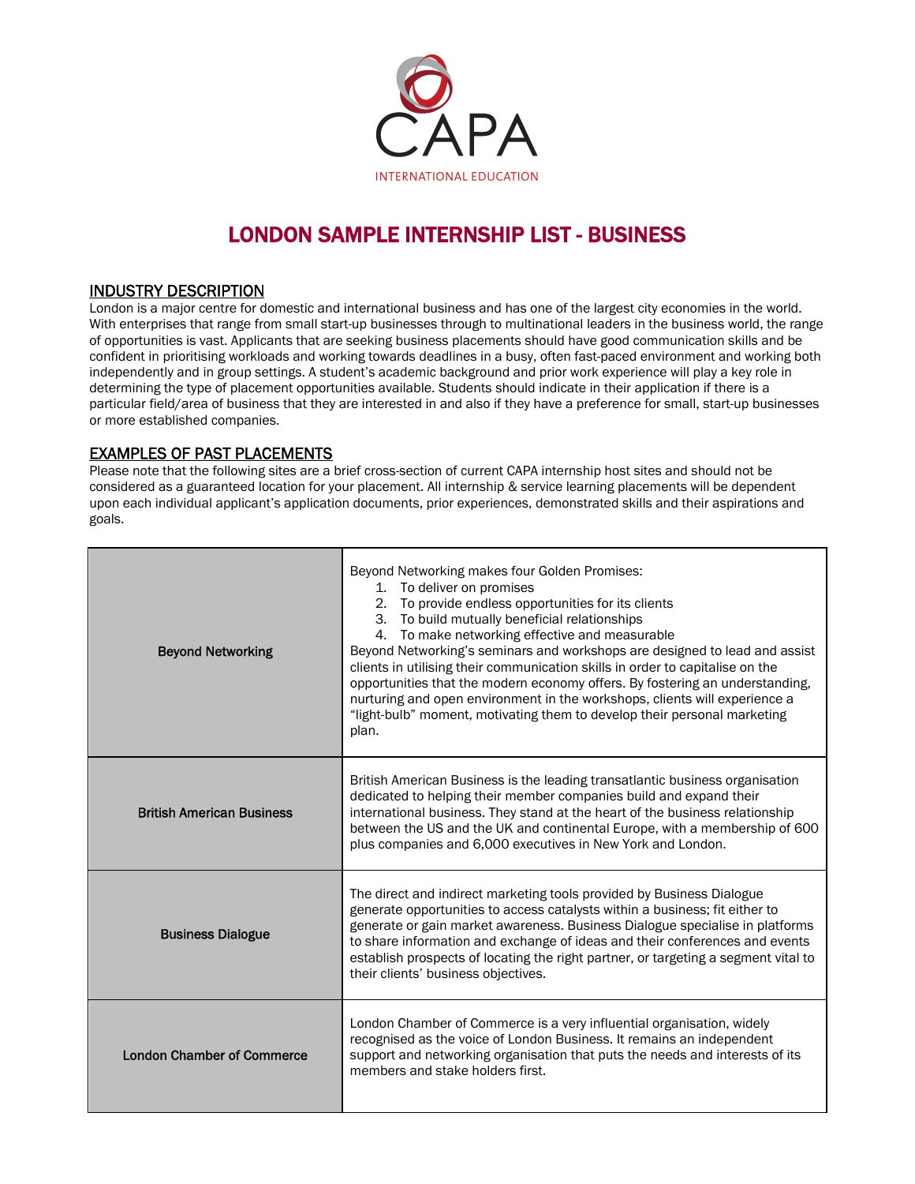

# LONDON SAMPLE INTERNSHIP LIST - BUSINESS

## INDUSTRY DESCRIPTION

London is a major centre for domestic and international business and has one of the largest city economies in the world. With enterprises that range from small start-up businesses through to multinational leaders in the business world, the range of opportunities is vast. Applicants that are seeking business placements should have good communication skills and be confident in prioritising workloads and working towards deadlines in a busy, often fast-paced environment and working both independently and in group settings. A student's academic background and prior work experience will play a key role in determining the type of placement opportunities available. Students should indicate in their application if there is a particular field/area of business that they are interested in and also if they have a preference for small, start-up businesses or more established companies.

EXAMPLES OF PAST PLACEMENTS<br>Please note that the following sites are a brief cross-section of current CAPA internship host sites and should not be considered as a guaranteed location for your placement. All internship & service learning placements will be dependent upon each individual applicant's application documents, prior experiences, demonstrated skills and their aspirations and goals.

| <b>Beyond Networking</b>          | Beyond Networking makes four Golden Promises:<br>1. To deliver on promises<br>2. To provide endless opportunities for its clients<br>3. To build mutually beneficial relationships<br>4. To make networking effective and measurable<br>Beyond Networking's seminars and workshops are designed to lead and assist<br>clients in utilising their communication skills in order to capitalise on the<br>opportunities that the modern economy offers. By fostering an understanding,<br>nurturing and open environment in the workshops, clients will experience a<br>"light-bulb" moment, motivating them to develop their personal marketing<br>plan. |
|-----------------------------------|--------------------------------------------------------------------------------------------------------------------------------------------------------------------------------------------------------------------------------------------------------------------------------------------------------------------------------------------------------------------------------------------------------------------------------------------------------------------------------------------------------------------------------------------------------------------------------------------------------------------------------------------------------|
| <b>British American Business</b>  | British American Business is the leading transatlantic business organisation<br>dedicated to helping their member companies build and expand their<br>international business. They stand at the heart of the business relationship<br>between the US and the UK and continental Europe, with a membership of 600<br>plus companies and 6,000 executives in New York and London.                                                                                                                                                                                                                                                                        |
| <b>Business Dialogue</b>          | The direct and indirect marketing tools provided by Business Dialogue<br>generate opportunities to access catalysts within a business; fit either to<br>generate or gain market awareness. Business Dialogue specialise in platforms<br>to share information and exchange of ideas and their conferences and events<br>establish prospects of locating the right partner, or targeting a segment vital to<br>their clients' business objectives.                                                                                                                                                                                                       |
| <b>London Chamber of Commerce</b> | London Chamber of Commerce is a very influential organisation, widely<br>recognised as the voice of London Business. It remains an independent<br>support and networking organisation that puts the needs and interests of its<br>members and stake holders first.                                                                                                                                                                                                                                                                                                                                                                                     |